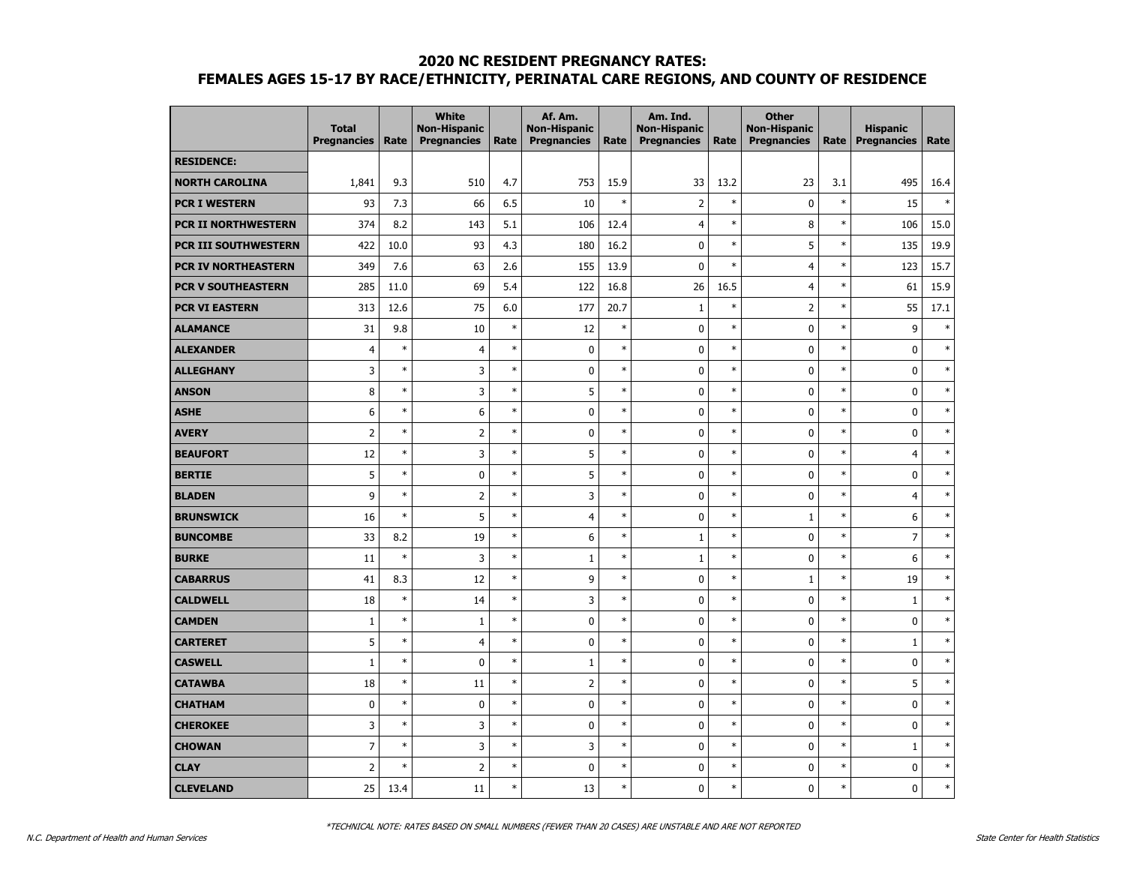|                            | <b>Total</b><br><b>Pregnancies</b> | Rate   | <b>White</b><br><b>Non-Hispanic</b><br><b>Pregnancies</b> | Rate   | Af. Am.<br><b>Non-Hispanic</b><br><b>Pregnancies</b> | Rate   | Am. Ind.<br><b>Non-Hispanic</b><br><b>Pregnancies</b> | Rate   | <b>Other</b><br><b>Non-Hispanic</b><br><b>Pregnancies</b> | Rate   | <b>Hispanic</b><br><b>Pregnancies</b> | Rate   |
|----------------------------|------------------------------------|--------|-----------------------------------------------------------|--------|------------------------------------------------------|--------|-------------------------------------------------------|--------|-----------------------------------------------------------|--------|---------------------------------------|--------|
| <b>RESIDENCE:</b>          |                                    |        |                                                           |        |                                                      |        |                                                       |        |                                                           |        |                                       |        |
| <b>NORTH CAROLINA</b>      | 1,841                              | 9.3    | 510                                                       | 4.7    | 753                                                  | 15.9   | 33                                                    | 13.2   | 23                                                        | 3.1    | 495                                   | 16.4   |
| <b>PCR I WESTERN</b>       | 93                                 | 7.3    | 66                                                        | 6.5    | 10                                                   | $\ast$ | $\overline{2}$                                        | $\ast$ | $\mathbf 0$                                               | $\ast$ | 15                                    | $\ast$ |
| <b>PCR II NORTHWESTERN</b> | 374                                | 8.2    | 143                                                       | 5.1    | 106                                                  | 12.4   | 4                                                     | $\ast$ | 8                                                         | $\ast$ | 106                                   | 15.0   |
| PCR III SOUTHWESTERN       | 422                                | 10.0   | 93                                                        | 4.3    | 180                                                  | 16.2   | 0                                                     | $\ast$ | 5                                                         | $\ast$ | 135                                   | 19.9   |
| <b>PCR IV NORTHEASTERN</b> | 349                                | 7.6    | 63                                                        | 2.6    | 155                                                  | 13.9   | $\mathbf 0$                                           | $\ast$ | $\overline{4}$                                            | $\ast$ | 123                                   | 15.7   |
| <b>PCR V SOUTHEASTERN</b>  | 285                                | 11.0   | 69                                                        | 5.4    | 122                                                  | 16.8   | 26                                                    | 16.5   | $\overline{4}$                                            | $\ast$ | 61                                    | 15.9   |
| <b>PCR VI EASTERN</b>      | 313                                | 12.6   | 75                                                        | 6.0    | 177                                                  | 20.7   | $\,1\,$                                               | $\ast$ | $\overline{2}$                                            | $\ast$ | 55                                    | 17.1   |
| <b>ALAMANCE</b>            | 31                                 | 9.8    | 10                                                        | $\ast$ | 12                                                   | $\ast$ | 0                                                     | $\ast$ | 0                                                         | $\ast$ | 9                                     | $\ast$ |
| <b>ALEXANDER</b>           | $\overline{4}$                     | $\ast$ | $\overline{4}$                                            | $\ast$ | 0                                                    | $\ast$ | 0                                                     | $\ast$ | 0                                                         | $\ast$ | 0                                     | $\ast$ |
| <b>ALLEGHANY</b>           | 3                                  | $\ast$ | 3                                                         | $\ast$ | 0                                                    | $\ast$ | 0                                                     | $\ast$ | 0                                                         | $\ast$ | $\mathbf 0$                           | $\ast$ |
| <b>ANSON</b>               | 8                                  | $\ast$ | 3                                                         | $\ast$ | 5                                                    | $\ast$ | $\mathbf 0$                                           | $\ast$ | 0                                                         | $\ast$ | $\mathbf 0$                           | $\ast$ |
| <b>ASHE</b>                | 6                                  | $\ast$ | 6                                                         | $\ast$ | 0                                                    | $\ast$ | $\pmb{0}$                                             | $\ast$ | 0                                                         | $\ast$ | 0                                     | $\ast$ |
| <b>AVERY</b>               | $\overline{2}$                     | $\ast$ | $\overline{2}$                                            | $\ast$ | 0                                                    | $\ast$ | 0                                                     | $\ast$ | 0                                                         | $\ast$ | $\mathbf 0$                           | $\ast$ |
| <b>BEAUFORT</b>            | 12                                 | $\ast$ | 3                                                         | $\ast$ | 5                                                    | $\ast$ | $\mathbf 0$                                           | $\ast$ | 0                                                         | $\ast$ | $\overline{4}$                        | $\ast$ |
| <b>BERTIE</b>              | 5                                  | $\ast$ | $\mathbf 0$                                               | $\ast$ | 5                                                    | $\ast$ | $\mathbf 0$                                           | $\ast$ | 0                                                         | $\ast$ | $\mathbf 0$                           | $\ast$ |
| <b>BLADEN</b>              | 9                                  | $\ast$ | $\overline{2}$                                            | $\ast$ | 3                                                    | $\ast$ | $\pmb{0}$                                             | $\ast$ | 0                                                         | $\ast$ | $\overline{4}$                        | $\ast$ |
| <b>BRUNSWICK</b>           | 16                                 | $\ast$ | 5                                                         | $\ast$ | 4                                                    | $\ast$ | 0                                                     | $\ast$ | $\mathbf{1}$                                              | $\ast$ | 6                                     | $\ast$ |
| <b>BUNCOMBE</b>            | 33                                 | 8.2    | 19                                                        | $\ast$ | 6                                                    | $\ast$ | $\mathbf{1}$                                          | $\ast$ | 0                                                         | $\ast$ | $\overline{7}$                        | $\ast$ |
| <b>BURKE</b>               | 11                                 | $\ast$ | 3                                                         | $\ast$ | $\mathbf{1}$                                         | $\ast$ | $\mathbf{1}$                                          | $\ast$ | 0                                                         | $\ast$ | 6                                     | $\ast$ |
| <b>CABARRUS</b>            | 41                                 | 8.3    | 12                                                        | $\ast$ | 9                                                    | $\ast$ | 0                                                     | $\ast$ | $\mathbf{1}$                                              | $\ast$ | 19                                    | $\ast$ |
| <b>CALDWELL</b>            | 18                                 | $\ast$ | 14                                                        | $\ast$ | 3                                                    | $\ast$ | 0                                                     | $\ast$ | 0                                                         | $\ast$ | $\mathbf 1$                           | $\ast$ |
| <b>CAMDEN</b>              | $\mathbf{1}$                       | $\ast$ | 1                                                         | $\ast$ | 0                                                    | $\ast$ | 0                                                     | $\ast$ | 0                                                         | $\ast$ | 0                                     | $\ast$ |
| <b>CARTERET</b>            | 5                                  | $\ast$ | $\overline{4}$                                            | $\ast$ | 0                                                    | $\ast$ | $\bf{0}$                                              | $\ast$ | 0                                                         | $\ast$ | $1\,$                                 | $\ast$ |
| <b>CASWELL</b>             | $\mathbf{1}$                       | $\ast$ | 0                                                         | $\ast$ | $\mathbf{1}$                                         | $\ast$ | 0                                                     | $\ast$ | 0                                                         | $\ast$ | 0                                     | $\ast$ |
| <b>CATAWBA</b>             | 18                                 | $\ast$ | 11                                                        | $\ast$ | $\overline{2}$                                       | $\ast$ | 0                                                     | $\ast$ | 0                                                         | $\ast$ | 5                                     | $\ast$ |
| <b>CHATHAM</b>             | $\pmb{0}$                          | $\ast$ | 0                                                         | $\ast$ | 0                                                    | $\ast$ | $\pmb{0}$                                             | $\ast$ | 0                                                         | $\ast$ | 0                                     | $\ast$ |
| <b>CHEROKEE</b>            | 3                                  | $\ast$ | 3                                                         | $\ast$ | 0                                                    | $\ast$ | 0                                                     | $\ast$ | 0                                                         | $\ast$ | 0                                     | $\ast$ |
| <b>CHOWAN</b>              | $\overline{7}$                     | $\ast$ | 3                                                         | $\ast$ | 3                                                    | $\ast$ | 0                                                     | $\ast$ | 0                                                         | $\ast$ | 1                                     | $\ast$ |
| <b>CLAY</b>                | $\overline{2}$                     | $\ast$ | $\overline{2}$                                            | $\ast$ | $\pmb{0}$                                            | $\ast$ | 0                                                     | $\ast$ | 0                                                         | $\ast$ | $\pmb{0}$                             | $\ast$ |
| <b>CLEVELAND</b>           | 25                                 | 13.4   | 11                                                        | $\ast$ | 13                                                   | $\ast$ | $\mathbf 0$                                           | $\ast$ | 0                                                         | $\ast$ | 0                                     | $\ast$ |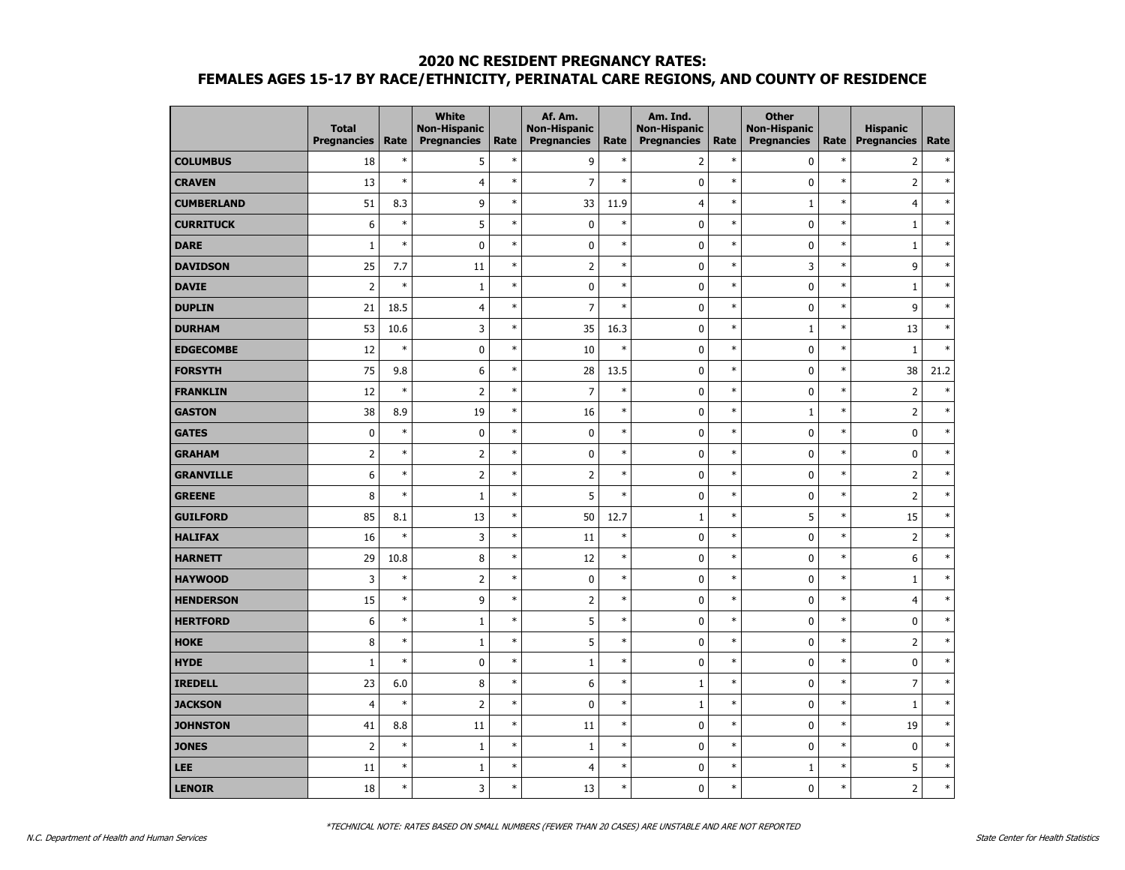|                   | <b>Total</b><br><b>Pregnancies</b> | Rate    | <b>White</b><br><b>Non-Hispanic</b><br><b>Pregnancies</b> | Rate   | Af. Am.<br><b>Non-Hispanic</b><br><b>Pregnancies</b> | Rate   | Am. Ind.<br><b>Non-Hispanic</b><br><b>Pregnancies</b> | Rate   | <b>Other</b><br><b>Non-Hispanic</b><br><b>Pregnancies</b> | Rate   | <b>Hispanic</b><br>Pregnancies | Rate   |
|-------------------|------------------------------------|---------|-----------------------------------------------------------|--------|------------------------------------------------------|--------|-------------------------------------------------------|--------|-----------------------------------------------------------|--------|--------------------------------|--------|
| <b>COLUMBUS</b>   | 18                                 | $\ast$  | 5                                                         | $\ast$ | 9                                                    | $\ast$ | $\overline{2}$                                        | $\ast$ | $\pmb{0}$                                                 | $\ast$ | $\overline{2}$                 | $\ast$ |
| <b>CRAVEN</b>     | 13                                 | $\ast$  | 4                                                         | $\ast$ | $\overline{7}$                                       | $\ast$ | $\pmb{0}$                                             | $\ast$ | $\pmb{0}$                                                 | $\ast$ | $\overline{\mathbf{c}}$        | $\ast$ |
| <b>CUMBERLAND</b> | 51                                 | 8.3     | 9                                                         | $\ast$ | 33                                                   | 11.9   | $\overline{4}$                                        | $\ast$ | $\mathbf{1}$                                              | $\ast$ | $\overline{4}$                 | $\ast$ |
| <b>CURRITUCK</b>  | 6                                  | $\ast$  | 5                                                         | $\ast$ | $\pmb{0}$                                            | $\ast$ | 0                                                     | $\ast$ | $\mathbf 0$                                               | $\ast$ | $\mathbf{1}$                   | $\ast$ |
| <b>DARE</b>       | $\mathbf{1}$                       | $\ast$  | 0                                                         | $\ast$ | $\mathbf 0$                                          | $\ast$ | 0                                                     | $\ast$ | $\mathbf 0$                                               | $\ast$ | $\mathbf{1}$                   | $\ast$ |
| <b>DAVIDSON</b>   | 25                                 | $7.7\,$ | 11                                                        | $\ast$ | $\mathsf 2$                                          | $\ast$ | 0                                                     | $\ast$ | 3                                                         | $\ast$ | 9                              | $\ast$ |
| <b>DAVIE</b>      | $\overline{2}$                     | $\ast$  | $\mathbf 1$                                               | $\ast$ | $\pmb{0}$                                            | $\ast$ | $\pmb{0}$                                             | $\ast$ | $\pmb{0}$                                                 | $\ast$ | $\mathbf 1$                    | $\ast$ |
| <b>DUPLIN</b>     | 21                                 | 18.5    | 4                                                         | $\ast$ | $\overline{7}$                                       | $\ast$ | $\pmb{0}$                                             | $\ast$ | $\pmb{0}$                                                 | $\ast$ | 9                              | $\ast$ |
| <b>DURHAM</b>     | 53                                 | 10.6    | 3                                                         | $\ast$ | 35                                                   | 16.3   | 0                                                     | $\ast$ | $\mathbf{1}$                                              | $\ast$ | 13                             | $\ast$ |
| <b>EDGECOMBE</b>  | 12                                 | $\ast$  | 0                                                         | $\ast$ | 10                                                   | $\ast$ | 0                                                     | $\ast$ | $\mathbf 0$                                               | $\ast$ | $\mathbf{1}$                   | $\ast$ |
| <b>FORSYTH</b>    | 75                                 | 9.8     | 6                                                         | $\ast$ | 28                                                   | 13.5   | 0                                                     | $\ast$ | $\mathbf 0$                                               | $\ast$ | 38                             | 21.2   |
| <b>FRANKLIN</b>   | 12                                 | $\ast$  | $\overline{\mathbf{c}}$                                   | $\ast$ | $\overline{7}$                                       | $\ast$ | $\pmb{0}$                                             | $\ast$ | $\pmb{0}$                                                 | $\ast$ |                                | $\ast$ |
| <b>GASTON</b>     | 38                                 | 8.9     | 19                                                        | $\ast$ | 16                                                   | $\ast$ | $\pmb{0}$                                             | $\ast$ | $\mathbf 1$                                               | $\ast$ | $\overline{\mathbf{c}}$        | $\ast$ |
| <b>GATES</b>      | $\pmb{0}$                          | $\ast$  | 0                                                         | $\ast$ | $\mathbf 0$                                          | $\ast$ | 0                                                     | $\ast$ | $\mathbf 0$                                               | $\ast$ | 0                              | $\ast$ |
| <b>GRAHAM</b>     | $\overline{2}$                     | $\ast$  | $\overline{2}$                                            | $\ast$ | $\pmb{0}$                                            | $\ast$ | 0                                                     | $\ast$ | $\pmb{0}$                                                 | $\ast$ | 0                              | $\ast$ |
| <b>GRANVILLE</b>  | 6                                  | $\ast$  | $\overline{\mathbf{c}}$                                   | $\ast$ | $\mathsf{2}$                                         | $\ast$ | $\mathbf 0$                                           | $\ast$ | $\mathbf 0$                                               | $\ast$ | $\overline{\mathbf{c}}$        | $\ast$ |
| <b>GREENE</b>     | 8                                  | $\ast$  | $\mathbf 1$                                               | $\ast$ | 5                                                    | $\ast$ | 0                                                     | $\ast$ | $\pmb{0}$                                                 | $\ast$ | $\overline{\mathbf{c}}$        | $\ast$ |
| <b>GUILFORD</b>   | 85                                 | 8.1     | 13                                                        | $\ast$ | 50                                                   | 12.7   | $\mathbf 1$                                           | $\ast$ | 5                                                         | $\ast$ | 15                             | $\ast$ |
| <b>HALIFAX</b>    | 16                                 | $\ast$  | 3                                                         | $\ast$ | 11                                                   | $\ast$ | 0                                                     | $\ast$ | $\pmb{0}$                                                 | $\ast$ | $\overline{2}$                 | $\ast$ |
| <b>HARNETT</b>    | 29                                 | 10.8    | 8                                                         | $\ast$ | 12                                                   | $\ast$ | 0                                                     | $\ast$ | $\pmb{0}$                                                 | $\ast$ | 6                              | $\ast$ |
| <b>HAYWOOD</b>    | 3                                  | $\ast$  | $\overline{2}$                                            | $\ast$ | $\pmb{0}$                                            | $\ast$ | 0                                                     | $\ast$ | $\pmb{0}$                                                 | $\ast$ | $\mathbf 1$                    | $\ast$ |
| <b>HENDERSON</b>  | 15                                 | $\ast$  | 9                                                         | $\ast$ | $\mathsf 2$                                          | $\ast$ | 0                                                     | $\ast$ | $\mathbf 0$                                               | $\ast$ | 4                              | $\ast$ |
| <b>HERTFORD</b>   | 6                                  | $\ast$  | $\mathbf 1$                                               | $\ast$ | 5                                                    | $\ast$ | $\pmb{0}$                                             | $\ast$ | $\pmb{0}$                                                 | $\ast$ | 0                              | $\ast$ |
| <b>HOKE</b>       | 8                                  | $\ast$  | $\mathbf 1$                                               | $\ast$ | 5                                                    | $\ast$ | $\pmb{0}$                                             | $\ast$ | $\pmb{0}$                                                 | $\ast$ | $\overline{\mathbf{c}}$        | $\ast$ |
| <b>HYDE</b>       | $\mathbf{1}$                       | $\ast$  | 0                                                         | $\ast$ | $\mathbf{1}$                                         | $\ast$ | 0                                                     | $\ast$ | 0                                                         | $\ast$ | 0                              | $\ast$ |
| <b>IREDELL</b>    | 23                                 | 6.0     | 8                                                         | $\ast$ | 6                                                    | $\ast$ | $\mathbf 1$                                           | $\ast$ | $\mathbf 0$                                               | $\ast$ | $\overline{7}$                 | $\ast$ |
| <b>JACKSON</b>    | $\overline{4}$                     | $\ast$  | $\overline{2}$                                            | $\ast$ | $\mathbf 0$                                          | $\ast$ | $1\,$                                                 | $\ast$ | $\mathbf 0$                                               | $\ast$ | $\mathbf 1$                    | $\ast$ |
| <b>JOHNSTON</b>   | 41                                 | 8.8     | 11                                                        | $\ast$ | 11                                                   | $\ast$ | 0                                                     | $\ast$ | $\pmb{0}$                                                 | $\ast$ | 19                             | $\ast$ |
| <b>JONES</b>      | $\mathbf 2$                        | $\ast$  | $\mathbf 1$                                               | $\ast$ | $\mathbf 1$                                          | $\ast$ | 0                                                     | $\ast$ | $\pmb{0}$                                                 | $\ast$ | $\pmb{0}$                      | $\ast$ |
| <b>LEE</b>        | 11                                 | $\ast$  | $\mathbf 1$                                               | $\ast$ | 4                                                    | $\ast$ | $\pmb{0}$                                             | $\ast$ | $\mathbf{1}$                                              | $\ast$ | 5                              | $\ast$ |
| <b>LENOIR</b>     | 18                                 | $\ast$  | 3                                                         | $\ast$ | 13                                                   | $\ast$ | $\mathbf{0}$                                          | $\ast$ | $\mathbf{0}$                                              | $\ast$ | $\overline{2}$                 | $\ast$ |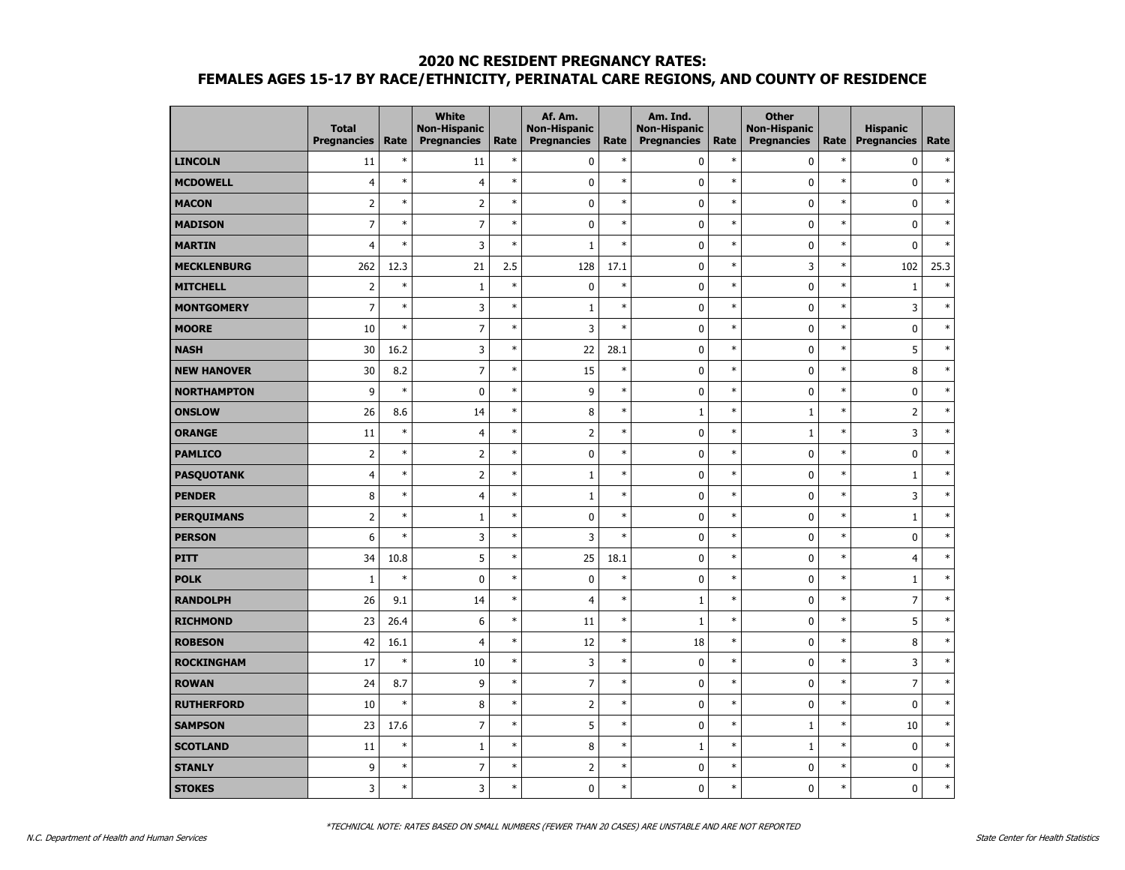|                    | <b>Total</b><br><b>Pregnancies</b> | Rate   | White<br><b>Non-Hispanic</b><br><b>Pregnancies</b> | Rate   | Af. Am.<br><b>Non-Hispanic</b><br><b>Pregnancies</b> | Rate   | Am. Ind.<br><b>Non-Hispanic</b><br><b>Pregnancies</b> | Rate   | <b>Other</b><br><b>Non-Hispanic</b><br><b>Pregnancies</b> | Rate   | <b>Hispanic</b><br><b>Pregnancies</b> | Rate   |
|--------------------|------------------------------------|--------|----------------------------------------------------|--------|------------------------------------------------------|--------|-------------------------------------------------------|--------|-----------------------------------------------------------|--------|---------------------------------------|--------|
| <b>LINCOLN</b>     | 11                                 | $\ast$ | 11                                                 | $\ast$ | 0                                                    | $\ast$ | $\pmb{0}$                                             | $\ast$ | $\mathbf 0$                                               | $\ast$ | $\pmb{0}$                             | $\ast$ |
| <b>MCDOWELL</b>    | $\overline{4}$                     | $\ast$ | 4                                                  | $\ast$ | $\pmb{0}$                                            | $\ast$ | $\pmb{0}$                                             | $\ast$ | $\mathbf 0$                                               | $\ast$ | $\mathbf 0$                           | $\ast$ |
| <b>MACON</b>       | $\overline{2}$                     | $\ast$ | $\overline{2}$                                     | $\ast$ | 0                                                    | $\ast$ | 0                                                     | $\ast$ | 0                                                         | $\ast$ | $\pmb{0}$                             | $\ast$ |
| <b>MADISON</b>     | $\overline{7}$                     | $\ast$ | $\overline{7}$                                     | $\ast$ | 0                                                    | $\ast$ | 0                                                     | $\ast$ | $\mathbf 0$                                               | $\ast$ | $\mathbf 0$                           | $\ast$ |
| <b>MARTIN</b>      | $\overline{4}$                     | $\ast$ | 3                                                  | $\ast$ | $\mathbf{1}$                                         | $\ast$ | 0                                                     | $\ast$ | 0                                                         | $\ast$ | $\mathbf 0$                           | $\ast$ |
| <b>MECKLENBURG</b> | 262                                | 12.3   | 21                                                 | 2.5    | 128                                                  | 17.1   | 0                                                     | $\ast$ | 3                                                         | $\ast$ | 102                                   | 25.3   |
| <b>MITCHELL</b>    | $\overline{2}$                     | $\ast$ | $\mathbf 1$                                        | $\ast$ | 0                                                    | $\ast$ | $\pmb{0}$                                             | $\ast$ | $\mathbf 0$                                               | $\ast$ | $\mathbf 1$                           | $\ast$ |
| <b>MONTGOMERY</b>  | $\overline{7}$                     | $\ast$ | 3                                                  | $\ast$ | $1\,$                                                | $\ast$ | $\pmb{0}$                                             | $\ast$ | 0                                                         | $\ast$ | 3                                     | $\ast$ |
| <b>MOORE</b>       | 10                                 | $\ast$ | $\overline{7}$                                     | $\ast$ | 3                                                    | $\ast$ | 0                                                     | $\ast$ | 0                                                         | $\ast$ | $\mathbf 0$                           | $\ast$ |
| <b>NASH</b>        | 30                                 | 16.2   | 3                                                  | $\ast$ | 22                                                   | 28.1   | $\mathbf 0$                                           | $\ast$ | 0                                                         | $\ast$ | 5                                     | $\ast$ |
| <b>NEW HANOVER</b> | 30                                 | 8.2    | $\overline{7}$                                     | $\ast$ | 15                                                   | $\ast$ | $\pmb{0}$                                             | $\ast$ | 0                                                         | $\ast$ | 8                                     | $\ast$ |
| <b>NORTHAMPTON</b> | 9                                  | $\ast$ | $\mathbf 0$                                        | $\ast$ | 9                                                    | $\ast$ | $\pmb{0}$                                             | $\ast$ | $\mathbf 0$                                               | $\ast$ | $\mathbf 0$                           | $\ast$ |
| <b>ONSLOW</b>      | 26                                 | 8.6    | 14                                                 | $\ast$ | $\bf 8$                                              | $\ast$ | $\,1\,$                                               | $\ast$ | $\mathbf 1$                                               | $\ast$ | $\overline{2}$                        | $\ast$ |
| <b>ORANGE</b>      | 11                                 | $\ast$ | $\overline{4}$                                     | $\ast$ | $\overline{2}$                                       | $\ast$ | $\pmb{0}$                                             | $\ast$ | $\mathbf{1}$                                              | $\ast$ | 3                                     | $\ast$ |
| <b>PAMLICO</b>     | $\overline{2}$                     | $\ast$ | $\overline{2}$                                     | $\ast$ | 0                                                    | $\ast$ | 0                                                     | $\ast$ | 0                                                         | $\ast$ | $\mathbf 0$                           | $\ast$ |
| <b>PASQUOTANK</b>  | $\overline{4}$                     | $\ast$ | $\overline{\mathbf{c}}$                            | $\ast$ | $\,1$                                                | $\ast$ | 0                                                     | $\ast$ | 0                                                         | $\ast$ | $\mathbf 1$                           | $\ast$ |
| <b>PENDER</b>      | 8                                  | $\ast$ | $\overline{4}$                                     | $\ast$ | $\mathbf 1$                                          | $\ast$ | $\pmb{0}$                                             | $\ast$ | 0                                                         | $\ast$ | 3                                     | $\ast$ |
| <b>PERQUIMANS</b>  | $\mathbf 2$                        | $\ast$ | $\mathbf 1$                                        | $\ast$ | $\pmb{0}$                                            | $\ast$ | $\pmb{0}$                                             | $\ast$ | 0                                                         | $\ast$ | $\mathbf 1$                           | $\ast$ |
| <b>PERSON</b>      | 6                                  | $\ast$ | 3                                                  | $\ast$ | 3                                                    | $\ast$ | $\pmb{0}$                                             | $\ast$ | 0                                                         | $\ast$ | $\pmb{0}$                             | $\ast$ |
| <b>PITT</b>        | 34                                 | 10.8   | 5                                                  | $\ast$ | 25                                                   | 18.1   | 0                                                     | $\ast$ | $\mathbf 0$                                               | $\ast$ | $\overline{4}$                        | $\ast$ |
| <b>POLK</b>        | $1\,$                              | $\ast$ | $\mathbf 0$                                        | $\ast$ | 0                                                    | $\ast$ | 0                                                     | $\ast$ | 0                                                         | $\ast$ | 1                                     | $\ast$ |
| <b>RANDOLPH</b>    | 26                                 | 9.1    | 14                                                 | $\ast$ | $\overline{4}$                                       | $\ast$ | $\,1\,$                                               | $\ast$ | $\mathbf 0$                                               | $\ast$ | $\overline{7}$                        | $\ast$ |
| <b>RICHMOND</b>    | 23                                 | 26.4   | 6                                                  | $\ast$ | 11                                                   | $\ast$ | $\,1\,$                                               | $\ast$ | $\mathbf 0$                                               | $\ast$ | 5                                     | $\ast$ |
| <b>ROBESON</b>     | 42                                 | 16.1   | $\overline{4}$                                     | $\ast$ | 12                                                   | $\ast$ | 18                                                    | $\ast$ | $\mathbf 0$                                               | $\ast$ | 8                                     | $\ast$ |
| <b>ROCKINGHAM</b>  | 17                                 | $\ast$ | 10                                                 | $\ast$ | 3                                                    | $\ast$ | $\pmb{0}$                                             | $\ast$ | 0                                                         | $\ast$ | 3                                     | $\ast$ |
| <b>ROWAN</b>       | 24                                 | 8.7    | 9                                                  | $\ast$ | $\overline{7}$                                       | $\ast$ | 0                                                     | $\ast$ | 0                                                         | $\ast$ | $\overline{7}$                        | $\ast$ |
| <b>RUTHERFORD</b>  | 10                                 | $\ast$ | 8                                                  | $\ast$ | $\overline{2}$                                       | $\ast$ | 0                                                     | $\ast$ | 0                                                         | $\ast$ | $\mathbf 0$                           | $\ast$ |
| <b>SAMPSON</b>     | 23                                 | 17.6   | $\overline{7}$                                     | $\ast$ | 5                                                    | $\ast$ | $\pmb{0}$                                             | $\ast$ | $\mathbf 1$                                               | $\ast$ | 10                                    | $\ast$ |
| <b>SCOTLAND</b>    | 11                                 | $\ast$ | 1                                                  | $\ast$ | 8                                                    | $\ast$ | $\,1\,$                                               | $\ast$ | $\mathbf 1$                                               | $\ast$ | $\mathbf 0$                           | $\ast$ |
| <b>STANLY</b>      | 9                                  | $\ast$ | $\overline{7}$                                     | $\ast$ | 2                                                    | $\ast$ | $\pmb{0}$                                             | $\ast$ | $\pmb{0}$                                                 | $\ast$ | $\pmb{0}$                             | $\ast$ |
| <b>STOKES</b>      | $\overline{3}$                     | $\ast$ | 3                                                  | $\ast$ | $\mathbf{0}$                                         | $\ast$ | $\mathbf{0}$                                          | $\ast$ | $\mathbf{0}$                                              | $\ast$ | $\mathbf{0}$                          | $\ast$ |